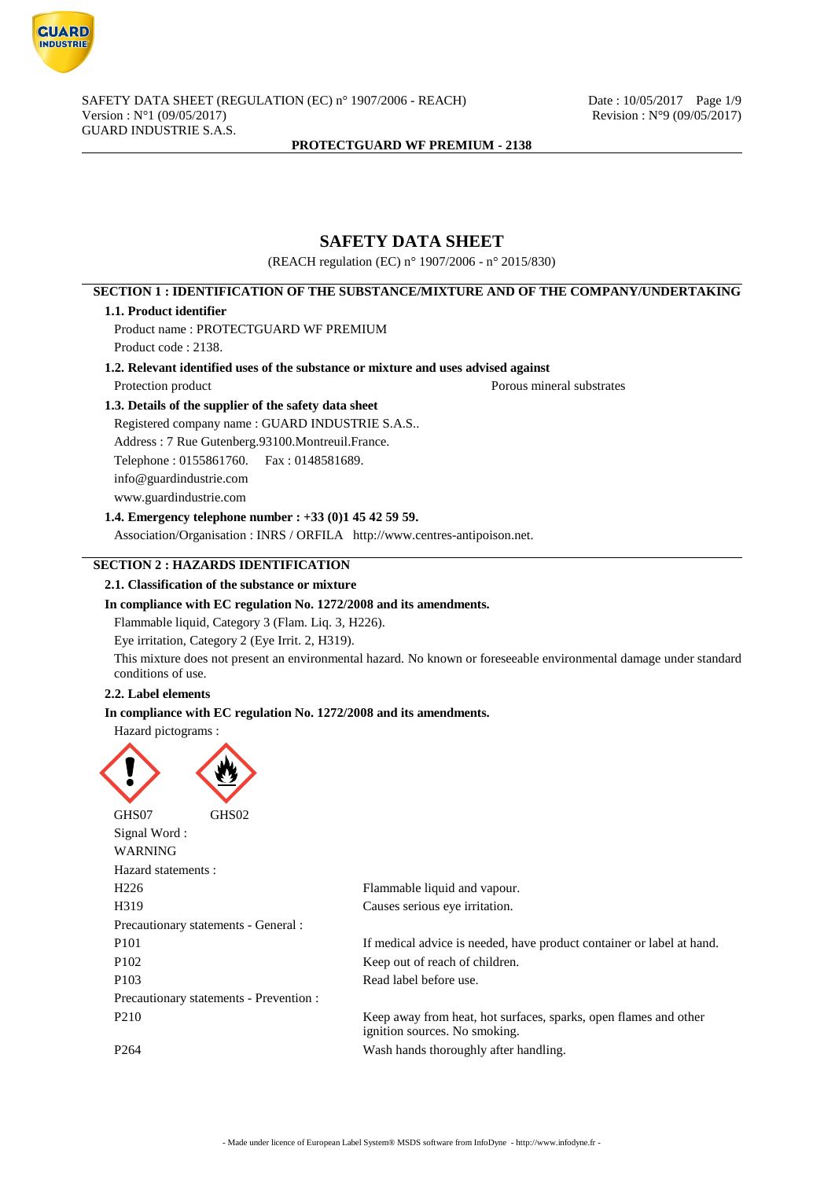

# **SAFETY DATA SHEET**

(REACH regulation (EC) n° 1907/2006 - n° 2015/830)

# **SECTION 1 : IDENTIFICATION OF THE SUBSTANCE/MIXTURE AND OF THE COMPANY/UNDERTAKING**

### **1.1. Product identifier**

Product name : PROTECTGUARD WF PREMIUM Product code : 2138.

**1.2. Relevant identified uses of the substance or mixture and uses advised against**

Protection product Porous mineral substrates

# **1.3. Details of the supplier of the safety data sheet**

Registered company name : GUARD INDUSTRIE S.A.S..

Address : 7 Rue Gutenberg.93100.Montreuil.France.

Telephone : 0155861760. Fax : 0148581689.

info@guardindustrie.com

www.guardindustrie.com

**1.4. Emergency telephone number : +33 (0)1 45 42 59 59.**

Association/Organisation : INRS / ORFILA http://www.centres-antipoison.net.

# **SECTION 2 : HAZARDS IDENTIFICATION**

### **2.1. Classification of the substance or mixture**

### **In compliance with EC regulation No. 1272/2008 and its amendments.**

Flammable liquid, Category 3 (Flam. Liq. 3, H226).

Eye irritation, Category 2 (Eye Irrit. 2, H319).

This mixture does not present an environmental hazard. No known or foreseeable environmental damage under standard conditions of use.

### **2.2. Label elements**

# **In compliance with EC regulation No. 1272/2008 and its amendments.**

Hazard pictograms :



| Signal Word:<br><b>WARNING</b>          |                                                                                                   |
|-----------------------------------------|---------------------------------------------------------------------------------------------------|
| Hazard statements :                     |                                                                                                   |
| H <sub>226</sub>                        | Flammable liquid and vapour.                                                                      |
| H <sub>3</sub> 19                       | Causes serious eye irritation.                                                                    |
| Precautionary statements - General :    |                                                                                                   |
| P <sub>101</sub>                        | If medical advice is needed, have product container or label at hand.                             |
| P <sub>102</sub>                        | Keep out of reach of children.                                                                    |
| P <sub>103</sub>                        | Read label before use.                                                                            |
| Precautionary statements - Prevention : |                                                                                                   |
| P <sub>2</sub> 10                       | Keep away from heat, hot surfaces, sparks, open flames and other<br>ignition sources. No smoking. |
| P <sub>264</sub>                        | Wash hands thoroughly after handling.                                                             |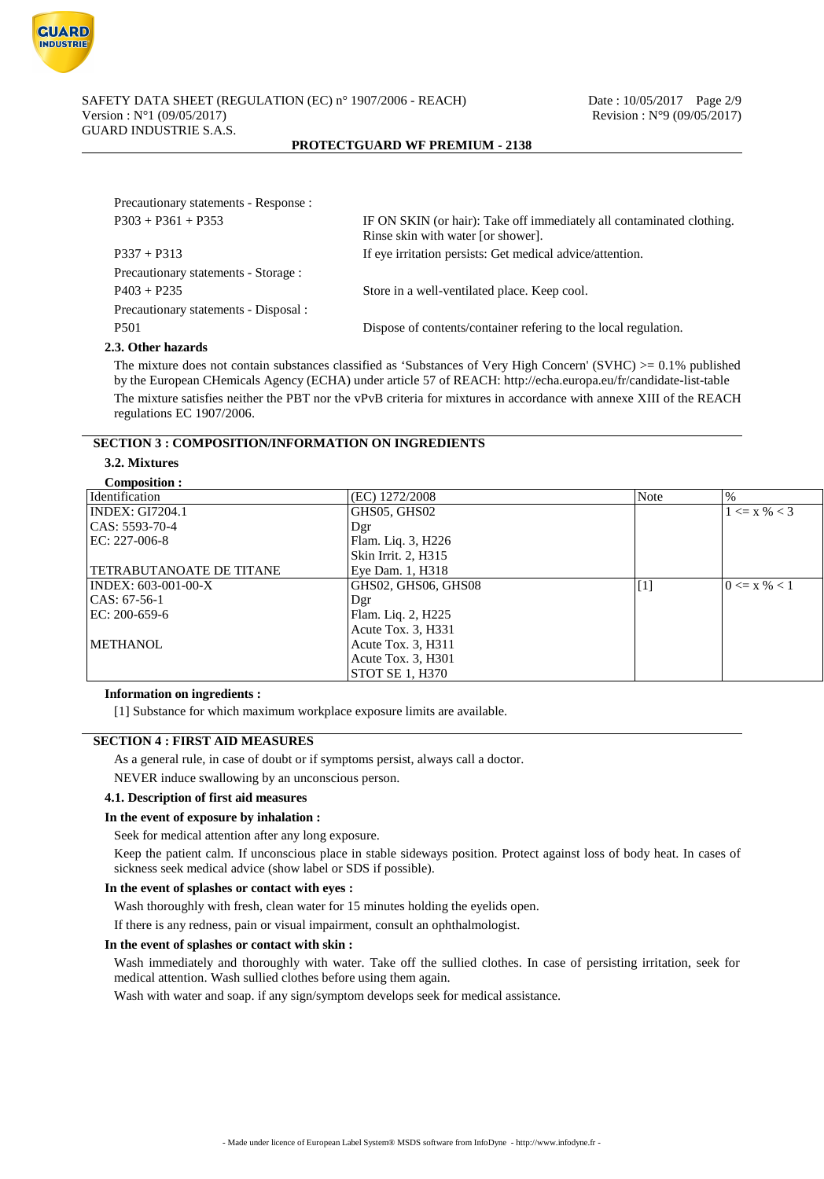

| Precautionary statements - Response : |                                                                                                             |
|---------------------------------------|-------------------------------------------------------------------------------------------------------------|
| $P303 + P361 + P353$                  | IF ON SKIN (or hair): Take off immediately all contaminated clothing.<br>Rinse skin with water [or shower]. |
| $P337 + P313$                         | If eye irritation persists: Get medical advice/attention.                                                   |
| Precautionary statements - Storage :  |                                                                                                             |
| $P403 + P235$                         | Store in a well-ventilated place. Keep cool.                                                                |
| Precautionary statements - Disposal : |                                                                                                             |
| <b>P501</b>                           | Dispose of contents/container refering to the local regulation.                                             |
| $2.04$ kon kozonda                    |                                                                                                             |

#### **2.3. Other hazards**

The mixture does not contain substances classified as 'Substances of Very High Concern' (SVHC)  $>0.1\%$  published by the European CHemicals Agency (ECHA) under article 57 of REACH: http://echa.europa.eu/fr/candidate-list-table The mixture satisfies neither the PBT nor the vPvB criteria for mixtures in accordance with annexe XIII of the REACH regulations EC 1907/2006.

# **SECTION 3 : COMPOSITION/INFORMATION ON INGREDIENTS**

# **3.2. Mixtures**

| Composition :            |                        |       |                  |
|--------------------------|------------------------|-------|------------------|
| Identification           | (EC) 1272/2008         | Note  | %                |
| INDEX: GI7204.1          | GHS05, GHS02           |       | $1 \le x \% < 3$ |
| $ CAS: 5593-70-4$        | Dgr                    |       |                  |
| EC: 227-006-8            | Flam. Liq. 3, H226     |       |                  |
|                          | Skin Irrit. 2, H315    |       |                  |
| TETRABUTANOATE DE TITANE | Eye Dam. 1, H318       |       |                  |
| INDEX: 603-001-00-X      | GHS02, GHS06, GHS08    | $[1]$ | $0 \le x \% < 1$ |
| CAS: 67-56-1             | Dgr                    |       |                  |
| EC: 200-659-6            | Flam. Liq. 2, H225     |       |                  |
|                          | Acute Tox. 3, H331     |       |                  |
| METHANOL                 | Acute Tox. 3, H311     |       |                  |
|                          | Acute Tox. 3, H301     |       |                  |
|                          | <b>STOT SE 1, H370</b> |       |                  |

### **Information on ingredients :**

[1] Substance for which maximum workplace exposure limits are available.

### **SECTION 4 : FIRST AID MEASURES**

As a general rule, in case of doubt or if symptoms persist, always call a doctor.

NEVER induce swallowing by an unconscious person.

### **4.1. Description of first aid measures**

#### **In the event of exposure by inhalation :**

Seek for medical attention after any long exposure.

Keep the patient calm. If unconscious place in stable sideways position. Protect against loss of body heat. In cases of sickness seek medical advice (show label or SDS if possible).

#### **In the event of splashes or contact with eyes :**

Wash thoroughly with fresh, clean water for 15 minutes holding the eyelids open.

If there is any redness, pain or visual impairment, consult an ophthalmologist.

#### **In the event of splashes or contact with skin :**

Wash immediately and thoroughly with water. Take off the sullied clothes. In case of persisting irritation, seek for medical attention. Wash sullied clothes before using them again.

Wash with water and soap. if any sign/symptom develops seek for medical assistance.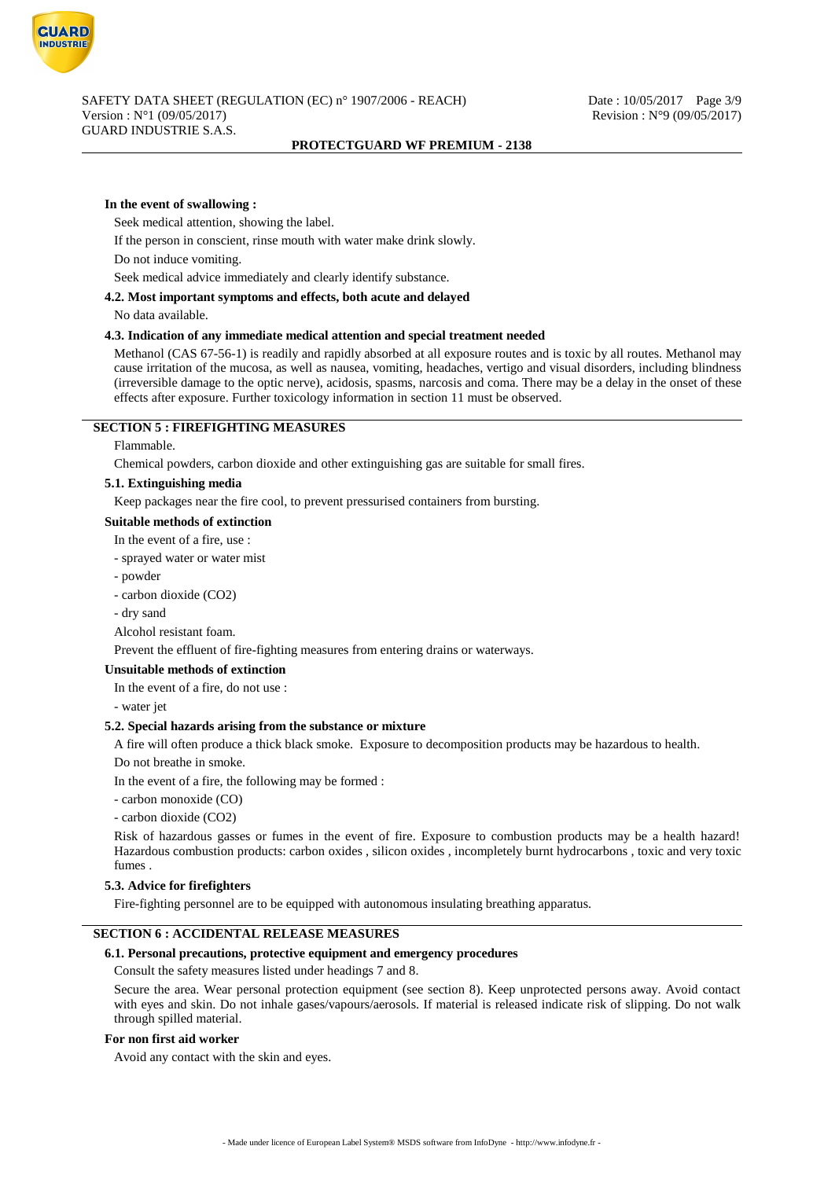

#### **In the event of swallowing :**

**GUARD INDUSTRIE** 

Seek medical attention, showing the label.

If the person in conscient, rinse mouth with water make drink slowly.

Do not induce vomiting.

Seek medical advice immediately and clearly identify substance.

#### **4.2. Most important symptoms and effects, both acute and delayed**

No data available.

### **4.3. Indication of any immediate medical attention and special treatment needed**

Methanol (CAS 67-56-1) is readily and rapidly absorbed at all exposure routes and is toxic by all routes. Methanol may cause irritation of the mucosa, as well as nausea, vomiting, headaches, vertigo and visual disorders, including blindness (irreversible damage to the optic nerve), acidosis, spasms, narcosis and coma. There may be a delay in the onset of these effects after exposure. Further toxicology information in section 11 must be observed.

### **SECTION 5 : FIREFIGHTING MEASURES**

#### Flammable.

Chemical powders, carbon dioxide and other extinguishing gas are suitable for small fires.

### **5.1. Extinguishing media**

Keep packages near the fire cool, to prevent pressurised containers from bursting.

#### **Suitable methods of extinction**

In the event of a fire, use :

- sprayed water or water mist

- powder
- carbon dioxide (CO2)
- dry sand

Alcohol resistant foam.

Prevent the effluent of fire-fighting measures from entering drains or waterways.

## **Unsuitable methods of extinction**

In the event of a fire, do not use :

- water jet

#### **5.2. Special hazards arising from the substance or mixture**

A fire will often produce a thick black smoke. Exposure to decomposition products may be hazardous to health. Do not breathe in smoke.

In the event of a fire, the following may be formed :

- carbon monoxide (CO)

- carbon dioxide (CO2)

Risk of hazardous gasses or fumes in the event of fire. Exposure to combustion products may be a health hazard! Hazardous combustion products: carbon oxides , silicon oxides , incompletely burnt hydrocarbons , toxic and very toxic fumes .

#### **5.3. Advice for firefighters**

Fire-fighting personnel are to be equipped with autonomous insulating breathing apparatus.

#### **SECTION 6 : ACCIDENTAL RELEASE MEASURES**

#### **6.1. Personal precautions, protective equipment and emergency procedures**

Consult the safety measures listed under headings 7 and 8.

Secure the area. Wear personal protection equipment (see section 8). Keep unprotected persons away. Avoid contact with eyes and skin. Do not inhale gases/vapours/aerosols. If material is released indicate risk of slipping. Do not walk through spilled material.

#### **For non first aid worker**

Avoid any contact with the skin and eyes.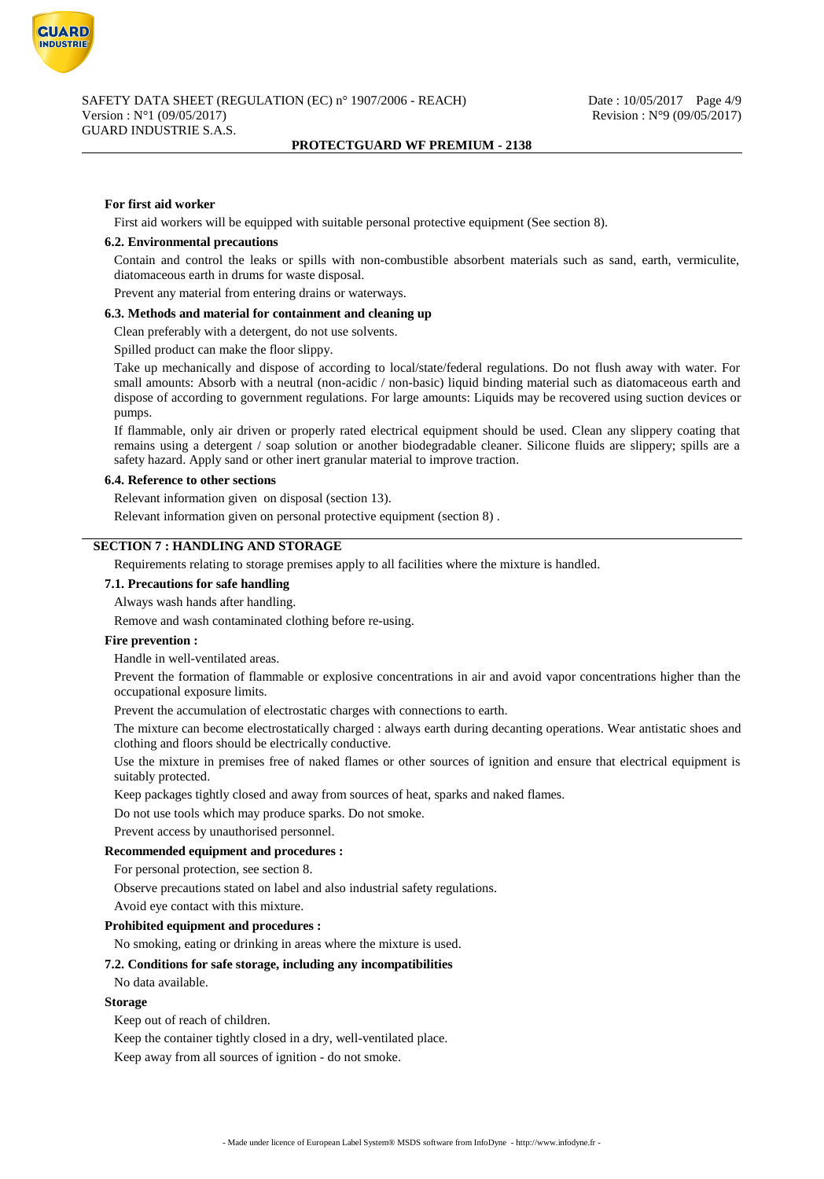

#### **For first aid worker**

First aid workers will be equipped with suitable personal protective equipment (See section 8).

#### **6.2. Environmental precautions**

Contain and control the leaks or spills with non-combustible absorbent materials such as sand, earth, vermiculite, diatomaceous earth in drums for waste disposal.

Prevent any material from entering drains or waterways.

#### **6.3. Methods and material for containment and cleaning up**

Clean preferably with a detergent, do not use solvents.

Spilled product can make the floor slippy.

Take up mechanically and dispose of according to local/state/federal regulations. Do not flush away with water. For small amounts: Absorb with a neutral (non-acidic / non-basic) liquid binding material such as diatomaceous earth and dispose of according to government regulations. For large amounts: Liquids may be recovered using suction devices or pumps.

If flammable, only air driven or properly rated electrical equipment should be used. Clean any slippery coating that remains using a detergent / soap solution or another biodegradable cleaner. Silicone fluids are slippery; spills are a safety hazard. Apply sand or other inert granular material to improve traction.

#### **6.4. Reference to other sections**

Relevant information given on disposal (section 13).

Relevant information given on personal protective equipment (section 8) .

# **SECTION 7 : HANDLING AND STORAGE**

Requirements relating to storage premises apply to all facilities where the mixture is handled.

## **7.1. Precautions for safe handling**

Always wash hands after handling.

Remove and wash contaminated clothing before re-using.

#### **Fire prevention :**

Handle in well-ventilated areas.

Prevent the formation of flammable or explosive concentrations in air and avoid vapor concentrations higher than the occupational exposure limits.

Prevent the accumulation of electrostatic charges with connections to earth.

The mixture can become electrostatically charged : always earth during decanting operations. Wear antistatic shoes and clothing and floors should be electrically conductive.

Use the mixture in premises free of naked flames or other sources of ignition and ensure that electrical equipment is suitably protected.

Keep packages tightly closed and away from sources of heat, sparks and naked flames.

Do not use tools which may produce sparks. Do not smoke.

Prevent access by unauthorised personnel.

#### **Recommended equipment and procedures :**

For personal protection, see section 8.

Observe precautions stated on label and also industrial safety regulations.

Avoid eye contact with this mixture.

#### **Prohibited equipment and procedures :**

No smoking, eating or drinking in areas where the mixture is used.

### **7.2. Conditions for safe storage, including any incompatibilities**

No data available.

### **Storage**

Keep out of reach of children.

Keep the container tightly closed in a dry, well-ventilated place.

Keep away from all sources of ignition - do not smoke.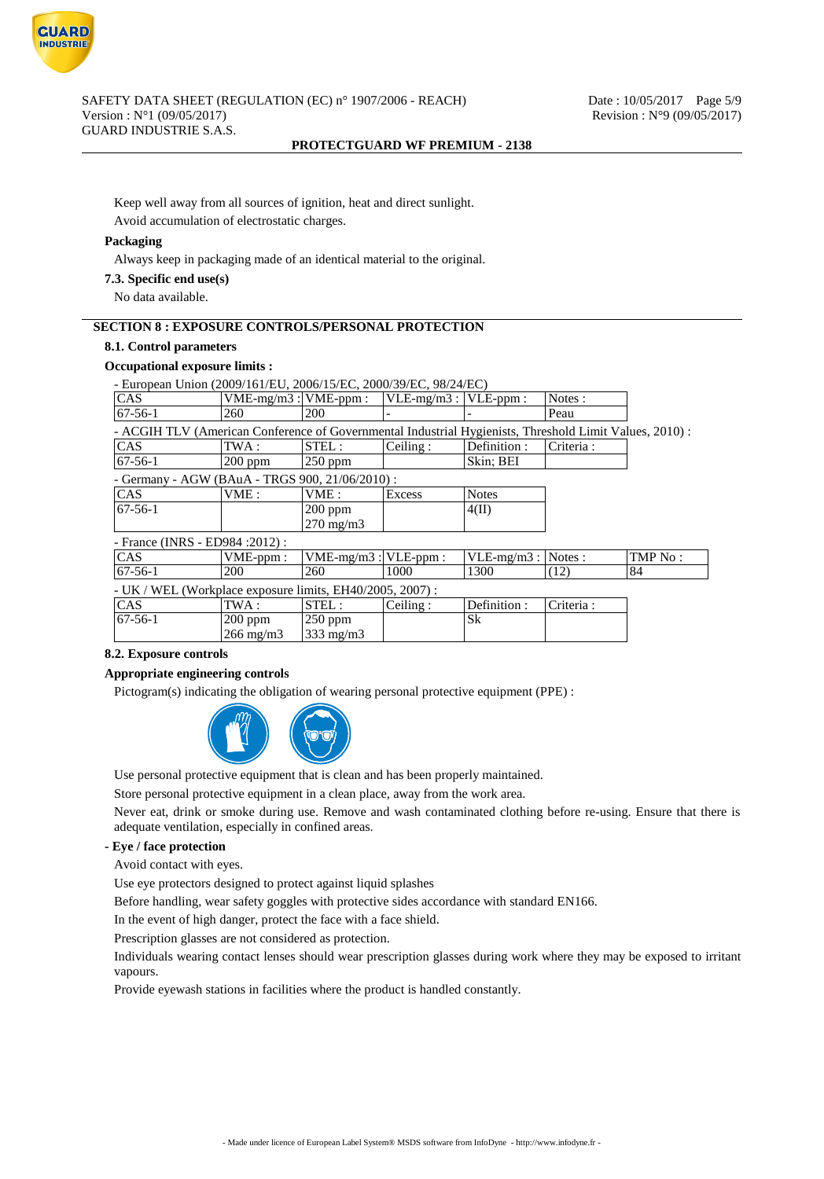

Keep well away from all sources of ignition, heat and direct sunlight. Avoid accumulation of electrostatic charges.

### **Packaging**

Always keep in packaging made of an identical material to the original.

#### **7.3. Specific end use(s)**

No data available.

# **SECTION 8 : EXPOSURE CONTROLS/PERSONAL PROTECTION**

## **8.1. Control parameters**

# **Occupational exposure limits :**

| - European Union (2009/161/EU, 2006/15/EC, 2000/39/EC, 98/24/EC)                                        |                           |                    |               |               |           |         |
|---------------------------------------------------------------------------------------------------------|---------------------------|--------------------|---------------|---------------|-----------|---------|
| <b>CAS</b>                                                                                              | $VME-mg/m3$ : $VME-ppm$ : |                    | $VLE-mg/m3:$  | $VLE-ppm$ :   | Notes:    |         |
| $67-56-1$                                                                                               | 260                       | 200                |               |               | Peau      |         |
| - ACGIH TLV (American Conference of Governmental Industrial Hygienists, Threshold Limit Values, 2010) : |                           |                    |               |               |           |         |
| CAS                                                                                                     | TWA :                     | STEL:              | Ceiling:      | Definition:   | Criteria: |         |
| $67-56-1$                                                                                               | $200$ ppm                 | $250$ ppm          |               | Skin; BEI     |           |         |
| - Germany - AGW (BAuA - TRGS 900, 21/06/2010) :                                                         |                           |                    |               |               |           |         |
| CAS                                                                                                     | VME:                      | VME:               | <b>Excess</b> | <b>Notes</b>  |           |         |
| $67-56-1$                                                                                               |                           | $200$ ppm          |               | 4(II)         |           |         |
|                                                                                                         |                           | $270 \text{ mg/m}$ |               |               |           |         |
| - France (INRS - ED984 : 2012) :                                                                        |                           |                    |               |               |           |         |
| CAS                                                                                                     | $VME-ppm$ :               | $VME-mg/m3:$       | VLE-ppm:      | $VLE-mg/m3$ : | Notes:    | TMP No: |
| $67-56-1$                                                                                               | 200                       | 260                | 1000          | 1300          | (12)      | 84      |
| - UK / WEL (Workplace exposure limits, EH40/2005, 2007) :                                               |                           |                    |               |               |           |         |
| CAS                                                                                                     | TWA :                     | STEL:              | Ceiling:      | Definition:   | Criteria: |         |
| $67-56-1$                                                                                               | $200$ ppm                 | $250$ ppm          |               | Sk            |           |         |
|                                                                                                         | $266 \text{ mg/m}$        | $333$ mg/m $3$     |               |               |           |         |

#### **8.2. Exposure controls**

#### **Appropriate engineering controls**

Pictogram(s) indicating the obligation of wearing personal protective equipment (PPE) :



Use personal protective equipment that is clean and has been properly maintained.

Store personal protective equipment in a clean place, away from the work area.

Never eat, drink or smoke during use. Remove and wash contaminated clothing before re-using. Ensure that there is adequate ventilation, especially in confined areas.

#### **- Eye / face protection**

Avoid contact with eyes.

Use eye protectors designed to protect against liquid splashes

Before handling, wear safety goggles with protective sides accordance with standard EN166.

In the event of high danger, protect the face with a face shield.

Prescription glasses are not considered as protection.

Individuals wearing contact lenses should wear prescription glasses during work where they may be exposed to irritant vapours.

Provide eyewash stations in facilities where the product is handled constantly.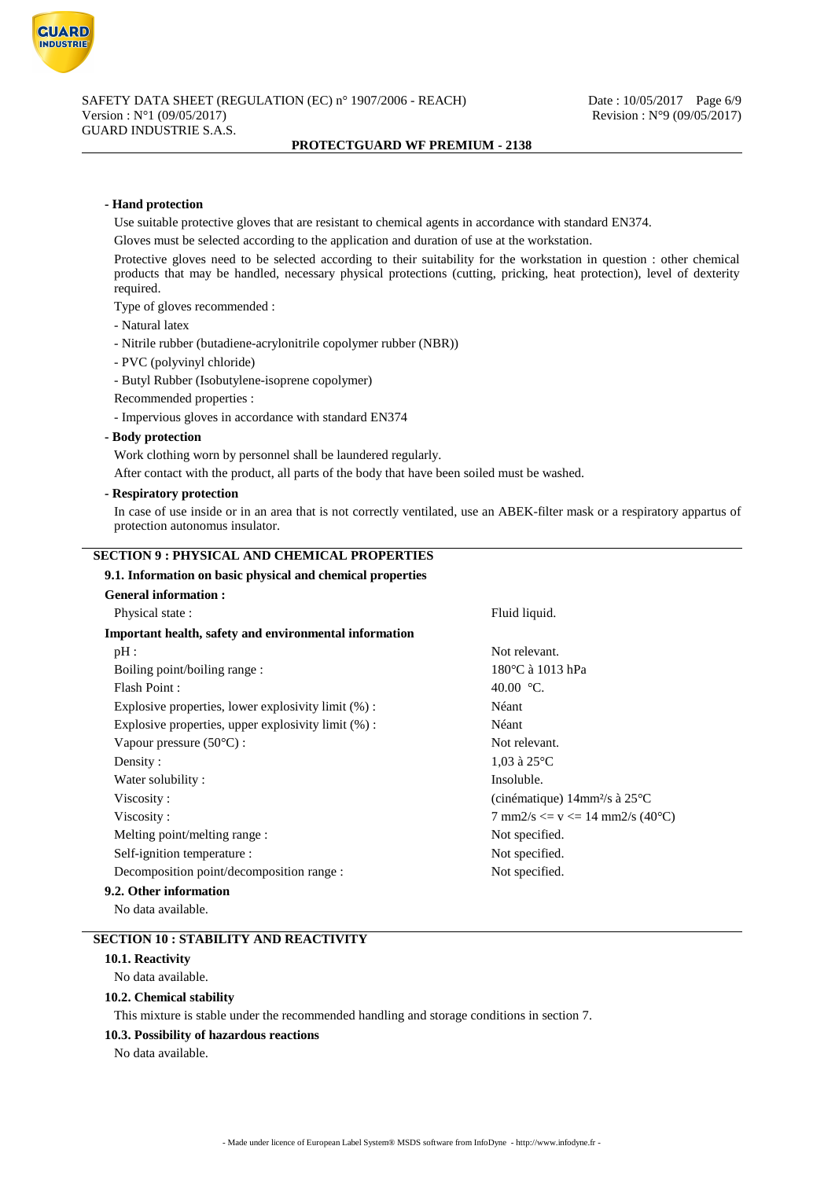

### **- Hand protection**

Use suitable protective gloves that are resistant to chemical agents in accordance with standard EN374.

Gloves must be selected according to the application and duration of use at the workstation.

Protective gloves need to be selected according to their suitability for the workstation in question : other chemical products that may be handled, necessary physical protections (cutting, pricking, heat protection), level of dexterity required.

Type of gloves recommended :

- Natural latex
- Nitrile rubber (butadiene-acrylonitrile copolymer rubber (NBR))
- PVC (polyvinyl chloride)
- Butyl Rubber (Isobutylene-isoprene copolymer)

Recommended properties :

- Impervious gloves in accordance with standard EN374

#### **- Body protection**

Work clothing worn by personnel shall be laundered regularly.

After contact with the product, all parts of the body that have been soiled must be washed.

#### **- Respiratory protection**

In case of use inside or in an area that is not correctly ventilated, use an ABEK-filter mask or a respiratory appartus of protection autonomus insulator.

# **SECTION 9 : PHYSICAL AND CHEMICAL PROPERTIES**

# **9.1. Information on basic physical and chemical properties**

| <b>General information:</b>                            |                                                        |
|--------------------------------------------------------|--------------------------------------------------------|
| Physical state:                                        | Fluid liquid.                                          |
| Important health, safety and environmental information |                                                        |
| pH:                                                    | Not relevant.                                          |
| Boiling point/boiling range:                           | 180 °C à 1013 hPa                                      |
| Flash Point:                                           | 40.00 °C.                                              |
| Explosive properties, lower explosivity limit (%):     | Néant                                                  |
| Explosive properties, upper explosivity limit $(\%)$ : | Néant                                                  |
| Vapour pressure $(50^{\circ}C)$ :                      | Not relevant.                                          |
| Density:                                               | $1,03$ à $25^{\circ}$ C                                |
| Water solubility:                                      | Insoluble.                                             |
| Viscosity:                                             | (cinématique) $14$ mm <sup>2</sup> /s à $25^{\circ}$ C |
| Viscosity:                                             | 7 mm2/s $\langle = v \rangle = 14$ mm2/s (40°C)        |
| Melting point/melting range :                          | Not specified.                                         |
| Self-ignition temperature :                            | Not specified.                                         |
| Decomposition point/decomposition range :              | Not specified.                                         |
| 9.2. Other information                                 |                                                        |

No data available.

# **SECTION 10 : STABILITY AND REACTIVITY**

#### **10.1. Reactivity**

No data available.

### **10.2. Chemical stability**

This mixture is stable under the recommended handling and storage conditions in section 7.

#### **10.3. Possibility of hazardous reactions**

No data available.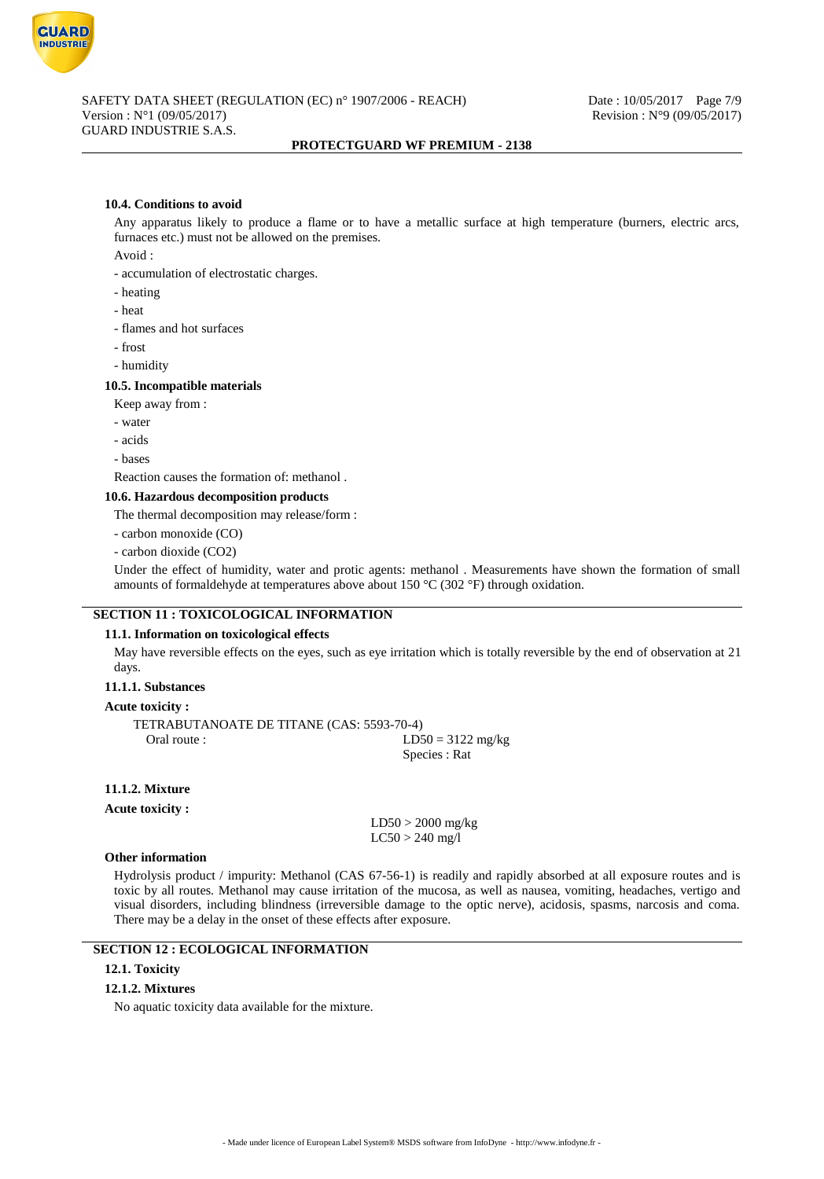

#### **10.4. Conditions to avoid**

Any apparatus likely to produce a flame or to have a metallic surface at high temperature (burners, electric arcs, furnaces etc.) must not be allowed on the premises.

Avoid :

- accumulation of electrostatic charges.
- heating
- heat
- flames and hot surfaces
- frost
- humidity

### **10.5. Incompatible materials**

- Keep away from :
- water
- acids
- bases

Reaction causes the formation of: methanol .

#### **10.6. Hazardous decomposition products**

The thermal decomposition may release/form :

- carbon monoxide (CO)
- carbon dioxide (CO2)

Under the effect of humidity, water and protic agents: methanol . Measurements have shown the formation of small amounts of formaldehyde at temperatures above about 150  $^{\circ}$ C (302  $^{\circ}$ F) through oxidation.

# **SECTION 11 : TOXICOLOGICAL INFORMATION**

### **11.1. Information on toxicological effects**

May have reversible effects on the eyes, such as eye irritation which is totally reversible by the end of observation at 21 days.

### **11.1.1. Substances**

### **Acute toxicity :**

TETRABUTANOATE DE TITANE (CAS: 5593-70-4) Oral route :  $LD50 = 3122 \text{ mg/kg}$ Species : Rat

## **11.1.2. Mixture**

**Acute toxicity :**

LD50 > 2000 mg/kg  $LC50 > 240$  mg/l

#### **Other information**

Hydrolysis product / impurity: Methanol (CAS 67-56-1) is readily and rapidly absorbed at all exposure routes and is toxic by all routes. Methanol may cause irritation of the mucosa, as well as nausea, vomiting, headaches, vertigo and visual disorders, including blindness (irreversible damage to the optic nerve), acidosis, spasms, narcosis and coma. There may be a delay in the onset of these effects after exposure.

# **SECTION 12 : ECOLOGICAL INFORMATION**

# **12.1. Toxicity**

#### **12.1.2. Mixtures**

No aquatic toxicity data available for the mixture.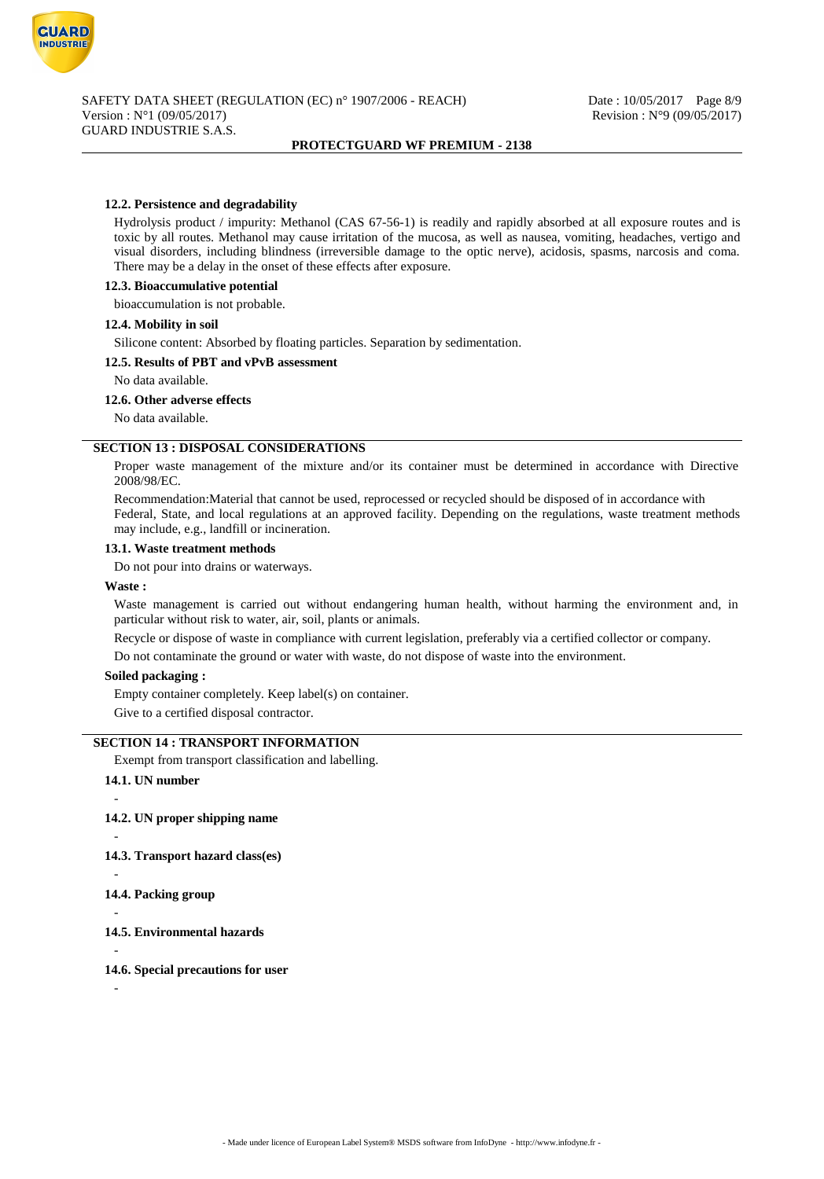

### **12.2. Persistence and degradability**

Hydrolysis product / impurity: Methanol (CAS 67-56-1) is readily and rapidly absorbed at all exposure routes and is toxic by all routes. Methanol may cause irritation of the mucosa, as well as nausea, vomiting, headaches, vertigo and visual disorders, including blindness (irreversible damage to the optic nerve), acidosis, spasms, narcosis and coma. There may be a delay in the onset of these effects after exposure.

#### **12.3. Bioaccumulative potential**

bioaccumulation is not probable.

#### **12.4. Mobility in soil**

Silicone content: Absorbed by floating particles. Separation by sedimentation.

### **12.5. Results of PBT and vPvB assessment**

No data available.

#### **12.6. Other adverse effects**

No data available.

#### **SECTION 13 : DISPOSAL CONSIDERATIONS**

Proper waste management of the mixture and/or its container must be determined in accordance with Directive 2008/98/EC.

Recommendation:Material that cannot be used, reprocessed or recycled should be disposed of in accordance with Federal, State, and local regulations at an approved facility. Depending on the regulations, waste treatment methods may include, e.g., landfill or incineration.

#### **13.1. Waste treatment methods**

Do not pour into drains or waterways.

#### **Waste :**

Waste management is carried out without endangering human health, without harming the environment and, in particular without risk to water, air, soil, plants or animals.

Recycle or dispose of waste in compliance with current legislation, preferably via a certified collector or company.

Do not contaminate the ground or water with waste, do not dispose of waste into the environment.

#### **Soiled packaging :**

Empty container completely. Keep label(s) on container.

Give to a certified disposal contractor.

### **SECTION 14 : TRANSPORT INFORMATION**

Exempt from transport classification and labelling.

**14.1. UN number**

#### **14.2. UN proper shipping name**

-

-

**14.3. Transport hazard class(es)**

- **14.4. Packing group**
- -

-

-

**14.5. Environmental hazards**

### **14.6. Special precautions for user**

-